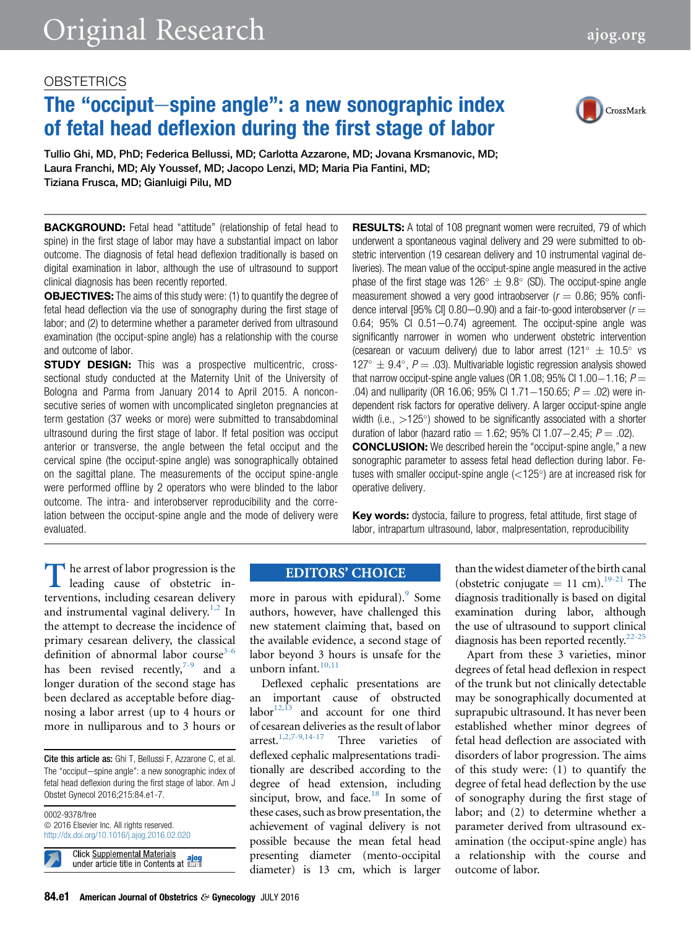# The "occiput-spine angle": a new sonographic index of fetal head deflexion during the first stage of labor



Tullio Ghi, MD, PhD; Federica Bellussi, MD; Carlotta Azzarone, MD; Jovana Krsmanovic, MD; Laura Franchi, MD; Aly Youssef, MD; Jacopo Lenzi, MD; Maria Pia Fantini, MD; Tiziana Frusca, MD; Gianluigi Pilu, MD

**BACKGROUND:** Fetal head "attitude" (relationship of fetal head to spine) in the first stage of labor may have a substantial impact on labor outcome. The diagnosis of fetal head deflexion traditionally is based on digital examination in labor, although the use of ultrasound to support clinical diagnosis has been recently reported.

**OBJECTIVES:** The aims of this study were: (1) to quantify the degree of fetal head deflection via the use of sonography during the first stage of labor; and (2) to determine whether a parameter derived from ultrasound examination (the occiput-spine angle) has a relationship with the course and outcome of labor.

**STUDY DESIGN:** This was a prospective multicentric, crosssectional study conducted at the Maternity Unit of the University of Bologna and Parma from January 2014 to April 2015. A nonconsecutive series of women with uncomplicated singleton pregnancies at term gestation (37 weeks or more) were submitted to transabdominal ultrasound during the first stage of labor. If fetal position was occiput anterior or transverse, the angle between the fetal occiput and the cervical spine (the occiput-spine angle) was sonographically obtained on the sagittal plane. The measurements of the occiput spine-angle were performed offline by 2 operators who were blinded to the labor outcome. The intra- and interobserver reproducibility and the correlation between the occiput-spine angle and the mode of delivery were evaluated.

**RESULTS:** A total of 108 pregnant women were recruited, 79 of which underwent a spontaneous vaginal delivery and 29 were submitted to obstetric intervention (19 cesarean delivery and 10 instrumental vaginal deliveries). The mean value of the occiput-spine angle measured in the active phase of the first stage was  $126^{\circ} \pm 9.8^{\circ}$  (SD). The occiput-spine angle measurement showed a very good intraobserver ( $r = 0.86$ ; 95% confidence interval [95% CI] 0.80–0.90) and a fair-to-good interobserver ( $r =$  $0.64$ ;  $95\%$  CI  $0.51-0.74$ ) agreement. The occiput-spine angle was significantly narrower in women who underwent obstetric intervention (cesarean or vacuum delivery) due to labor arrest (121°  $\pm$  10.5° vs  $127^{\circ} \pm 9.4^{\circ}$ ,  $P = .03$ ). Multivariable logistic regression analysis showed that narrow occiput-spine angle values (OR 1.08; 95% CI 1.00-1.16;  $P =$ .04) and nulliparity (OR 16.06; 95% CI 1.71–150.65;  $P = .02$ ) were independent risk factors for operative delivery. A larger occiput-spine angle width (i.e.,  $>125^{\circ}$ ) showed to be significantly associated with a shorter duration of labor (hazard ratio  $= 1.62$ ; 95% Cl 1.07-2.45;  $P = .02$ ). CONCLUSION: We described herein the "occiput-spine angle," a new sonographic parameter to assess fetal head deflection during labor. Fetuses with smaller occiput-spine angle  $(<125^{\circ})$  are at increased risk for operative delivery.

Key words: dystocia, failure to progress, fetal attitude, first stage of labor, intrapartum ultrasound, labor, malpresentation, reproducibility

The arrest of labor progression is the leading cause of obstetric interventions, including cesarean delivery and instrumental vaginal delivery.<sup>1,2</sup> In leading cause of obstetric interventions, including cesarean delivery and instrumental vaginal delivery.<sup>[1,2](#page-5-0)</sup> In the attempt to decrease the incidence of primary cesarean delivery, the classical definition of abnormal labor course<sup>3-6</sup> has been revised recently,  $7-9$  and a longer duration of the second stage has been declared as acceptable before diagnosing a labor arrest (up to 4 hours or more in nulliparous and to 3 hours or

0002-9378/free  $© 2016 Elsevier Inc. All rights reserved.$ <http://dx.doi.org/10.1016/j.ajog.2016.02.020>

**Click Supplemental Materials** under article title in Contents at **Even** 

## **EDITORS' CHOICE**

more in parous with epidural). $\degree$  Some authors, however, have challenged this new statement claiming that, based on the available evidence, a second stage of labor beyond 3 hours is unsafe for the unborn infant.<sup>[10,11](#page-5-0)</sup>

Deflexed cephalic presentations are an important cause of obstructed labor $12,13$  and account for one third of cesarean deliveries as the result of labor arrest.<sup>1,2,7-9,14-17</sup> Three varieties of Three varieties of deflexed cephalic malpresentations traditionally are described according to the degree of head extension, including sinciput, brow, and face.<sup>18</sup> In some of these cases, such as brow presentation, the achievement of vaginal delivery is not possible because the mean fetal head presenting diameter (mento-occipital diameter) is 13 cm, which is larger

than the widest diameter of the birth canal (obstetric conjugate  $= 11$  cm).<sup>19-21</sup> The diagnosis traditionally is based on digital examination during labor, although the use of ultrasound to support clinical diagnosis has been reported recently.<sup>22-25</sup>

Apart from these 3 varieties, minor degrees of fetal head deflexion in respect of the trunk but not clinically detectable may be sonographically documented at suprapubic ultrasound. It has never been established whether minor degrees of fetal head deflection are associated with disorders of labor progression. The aims of this study were: (1) to quantify the degree of fetal head deflection by the use of sonography during the first stage of labor; and (2) to determine whether a parameter derived from ultrasound examination (the occiput-spine angle) has a relationship with the course and outcome of labor.

Cite this article as: Ghi T, Bellussi F, Azzarone C, et al. The "occiput-spine angle": a new sonographic index of fetal head deflexion during the first stage of labor. Am J Obstet Gynecol 2016;215:84.e1-7.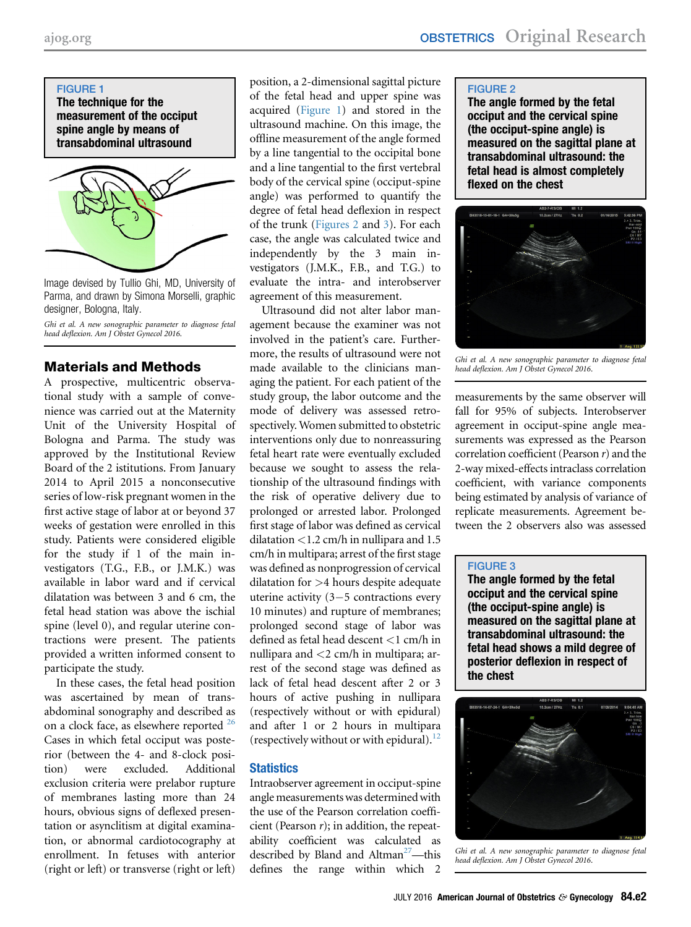

Image devised by Tullio Ghi, MD, University of Parma, and drawn by Simona Morselli, graphic designer, Bologna, Italy.

Ghi et al. A new sonographic parameter to diagnose fetal head deflexion. Am J Obstet Gynecol 2016.

# Materials and Methods

A prospective, multicentric observational study with a sample of convenience was carried out at the Maternity Unit of the University Hospital of Bologna and Parma. The study was approved by the Institutional Review Board of the 2 istitutions. From January 2014 to April 2015 a nonconsecutive series of low-risk pregnant women in the first active stage of labor at or beyond 37 weeks of gestation were enrolled in this study. Patients were considered eligible for the study if 1 of the main investigators (T.G., F.B., or J.M.K.) was available in labor ward and if cervical dilatation was between 3 and 6 cm, the fetal head station was above the ischial spine (level 0), and regular uterine contractions were present. The patients provided a written informed consent to participate the study.

In these cases, the fetal head position was ascertained by mean of transabdominal sonography and described as on a clock face, as elsewhere reported  $^{26}$  $^{26}$  $^{26}$ Cases in which fetal occiput was posterior (between the 4- and 8-clock position) were excluded. Additional exclusion criteria were prelabor rupture of membranes lasting more than 24 hours, obvious signs of deflexed presentation or asynclitism at digital examination, or abnormal cardiotocography at enrollment. In fetuses with anterior (right or left) or transverse (right or left)

position, a 2-dimensional sagittal picture of the fetal head and upper spine was acquired (Figure 1) and stored in the ultrasound machine. On this image, the offline measurement of the angle formed by a line tangential to the occipital bone and a line tangential to the first vertebral body of the cervical spine (occiput-spine angle) was performed to quantify the degree of fetal head deflexion in respect of the trunk (Figures 2 and 3). For each case, the angle was calculated twice and independently by the 3 main investigators (J.M.K., F.B., and T.G.) to evaluate the intra- and interobserver agreement of this measurement.

Ultrasound did not alter labor management because the examiner was not involved in the patient's care. Furthermore, the results of ultrasound were not made available to the clinicians managing the patient. For each patient of the study group, the labor outcome and the mode of delivery was assessed retrospectively. Women submitted to obstetric interventions only due to nonreassuring fetal heart rate were eventually excluded because we sought to assess the relationship of the ultrasound findings with the risk of operative delivery due to prolonged or arrested labor. Prolonged first stage of labor was defined as cervical dilatation <1.2 cm/h in nullipara and 1.5 cm/h in multipara; arrest of the first stage was defined as nonprogression of cervical dilatation for >4 hours despite adequate uterine activity  $(3-5$  contractions every 10 minutes) and rupture of membranes; prolonged second stage of labor was defined as fetal head descent <1 cm/h in nullipara and  $<$ 2 cm/h in multipara; arrest of the second stage was defined as lack of fetal head descent after 2 or 3 hours of active pushing in nullipara (respectively without or with epidural) and after 1 or 2 hours in multipara (respectively without or with epidural).<sup>[12](#page-5-0)</sup>

# **Statistics**

Intraobserver agreement in occiput-spine angle measurements was determined with the use of the Pearson correlation coefficient (Pearson  $r$ ); in addition, the repeatability coefficient was calculated as described by Bland and Altman<sup>[27](#page-5-0)</sup>—this defines the range within which 2

#### FIGURE 2

The angle formed by the fetal occiput and the cervical spine (the occiput-spine angle) is measured on the sagittal plane at transabdominal ultrasound: the fetal head is almost completely flexed on the chest



Ghi et al. A new sonographic parameter to diagnose fetal head deflexion. Am J Obstet Gynecol 2016.

measurements by the same observer will fall for 95% of subjects. Interobserver agreement in occiput-spine angle measurements was expressed as the Pearson correlation coefficient (Pearson  $r$ ) and the 2-way mixed-effects intraclass correlation coefficient, with variance components being estimated by analysis of variance of replicate measurements. Agreement between the 2 observers also was assessed

#### FIGURE 3

The angle formed by the fetal occiput and the cervical spine (the occiput-spine angle) is measured on the sagittal plane at transabdominal ultrasound: the fetal head shows a mild degree of posterior deflexion in respect of the chest



Ghi et al. A new sonographic parameter to diagnose fetal head deflexion. Am J Obstet Gynecol 2016.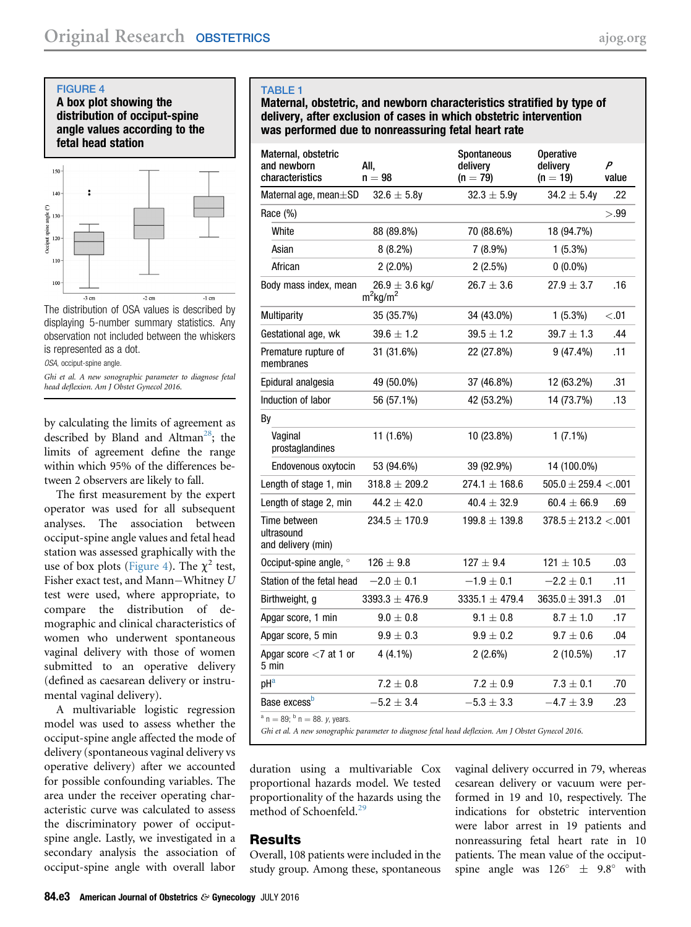<span id="page-2-0"></span>FIGURE 4

A box plot showing the distribution of occiput-spine angle values according to the fetal head station



The distribution of OSA values is described by displaying 5-number summary statistics. Any observation not included between the whiskers is represented as a dot.

OSA, occiput-spine angle.

Ghi et al. A new sonographic parameter to diagnose fetal head deflexion. Am J Obstet Gynecol 2016.

by calculating the limits of agreement as described by Bland and Altman<sup>28</sup>; the limits of agreement define the range within which 95% of the differences between 2 observers are likely to fall.

The first measurement by the expert operator was used for all subsequent analyses. The association between occiput-spine angle values and fetal head station was assessed graphically with the use of box plots (Figure 4). The  $\chi^2$  test, Fisher exact test, and Mann-Whitney  $U$ test were used, where appropriate, to compare the distribution of demographic and clinical characteristics of women who underwent spontaneous vaginal delivery with those of women submitted to an operative delivery (defined as caesarean delivery or instrumental vaginal delivery).

A multivariable logistic regression model was used to assess whether the occiput-spine angle affected the mode of delivery (spontaneous vaginal delivery vs operative delivery) after we accounted for possible confounding variables. The area under the receiver operating characteristic curve was calculated to assess the discriminatory power of occiputspine angle. Lastly, we investigated in a secondary analysis the association of occiput-spine angle with overall labor

## TABLE 1

Maternal, obstetric, and newborn characteristics stratified by type of delivery, after exclusion of cases in which obstetric intervention was performed due to nonreassuring fetal heart rate

| Maternal, obstetric<br>and newborn<br>characteristics | All,<br>$n = 98$                              | Spontaneous<br>delivery<br>$(n = 79)$ | <b>Operative</b><br>delivery<br>$(n = 19)$ | P<br>value |
|-------------------------------------------------------|-----------------------------------------------|---------------------------------------|--------------------------------------------|------------|
| Maternal age, mean±SD                                 | $32.6 \pm 5.8y$                               | $32.3 \pm 5.9y$                       | $34.2 \pm 5.4y$                            | .22        |
| Race (%)                                              |                                               |                                       |                                            | >.99       |
| White                                                 | 88 (89.8%)                                    | 70 (88.6%)                            | 18 (94.7%)                                 |            |
| Asian                                                 | $8(8.2\%)$                                    | $7(8.9\%)$                            | $1(5.3\%)$                                 |            |
| African                                               | $2(2.0\%)$                                    | $2(2.5\%)$                            | $0(0.0\%)$                                 |            |
| Body mass index, mean                                 | $26.9 \pm 3.6$ kg/<br>$m^2$ kg/m <sup>2</sup> | $26.7 \pm 3.6$                        | $27.9 \pm 3.7$                             | .16        |
| Multiparity                                           | 35 (35.7%)                                    | 34 (43.0%)                            | $1(5.3\%)$                                 | < 0.01     |
| Gestational age, wk                                   | $39.6 \pm 1.2$                                | $39.5 \pm 1.2$                        | $39.7 \pm 1.3$                             | .44        |
| Premature rupture of<br>membranes                     | 31 (31.6%)                                    | 22 (27.8%)                            | $9(47.4\%)$                                | .11        |
| Epidural analgesia                                    | 49 (50.0%)                                    | 37 (46.8%)                            | 12 (63.2%)                                 | .31        |
| Induction of labor                                    | 56 (57.1%)                                    | 42 (53.2%)                            | 14 (73.7%)                                 | .13        |
| By                                                    |                                               |                                       |                                            |            |
| Vaginal<br>prostaglandines                            | 11 (1.6%)                                     | 10 (23.8%)                            | $1(7.1\%)$                                 |            |
| Endovenous oxytocin                                   | 53 (94.6%)                                    | 39 (92.9%)                            | 14 (100.0%)                                |            |
| Length of stage 1, min                                | $318.8 \pm 209.2$                             | $274.1 \pm 168.6$                     | $505.0 \pm 259.4 < 0.001$                  |            |
| Length of stage 2, min                                | $44.2 \pm 42.0$                               | $40.4 \pm 32.9$                       | $60.4 \pm 66.9$                            | .69        |
| Time between<br>ultrasound<br>and delivery (min)      | $234.5 \pm 170.9$                             | $199.8 \pm 139.8$                     | $378.5 \pm 213.2 \lt .001$                 |            |
| Occiput-spine angle, °                                | $126 \pm 9.8$                                 | $127 \pm 9.4$                         | $121 \pm 10.5$                             | .03        |
| Station of the fetal head                             | $-2.0 \pm 0.1$                                | $-1.9 \pm 0.1$                        | $-2.2 \pm 0.1$                             | .11        |
| Birthweight, g                                        | $3393.3 \pm 476.9$                            | $3335.1 \pm 479.4$                    | $3635.0 \pm 391.3$                         | .01        |
| Apgar score, 1 min                                    | $9.0 \pm 0.8$                                 | $9.1 \pm 0.8$                         | $8.7 \pm 1.0$                              | .17        |
| Apgar score, 5 min                                    | $9.9\pm0.3$                                   | $9.9 \pm 0.2$                         | $9.7 \pm 0.6$                              | .04        |
| Apgar score $<$ 7 at 1 or<br>5 min                    | $4(4.1\%)$                                    | $2(2.6\%)$                            | $2(10.5\%)$                                | .17        |
| $pH^a$                                                | $7.2 \pm 0.8$                                 | $7.2 \pm 0.9$                         | $7.3 \pm 0.1$                              | .70        |
| Base excess <sup>b</sup>                              | $-5.2 \pm 3.4$                                | $-5.3 \pm 3.3$                        | $-4.7 \pm 3.9$                             | .23        |
| $a_n = 89$ ; $b_n = 88$ , v, years.                   |                                               |                                       |                                            |            |

<sup>a</sup> n = 89; <sup>b</sup> n = 88. y, years.<br>Ghi et al. A new sonographic parameter to diagnose fetal head deflexion. Am J Obstet Gynecol 2016.

duration using a multivariable Cox proportional hazards model. We tested proportionality of the hazards using the method of Schoenfeld.<sup>[29](#page-5-0)</sup>

# Results

Overall, 108 patients were included in the study group. Among these, spontaneous

vaginal delivery occurred in 79, whereas cesarean delivery or vacuum were performed in 19 and 10, respectively. The indications for obstetric intervention were labor arrest in 19 patients and nonreassuring fetal heart rate in 10 patients. The mean value of the occiputspine angle was  $126^{\circ} \pm 9.8^{\circ}$  with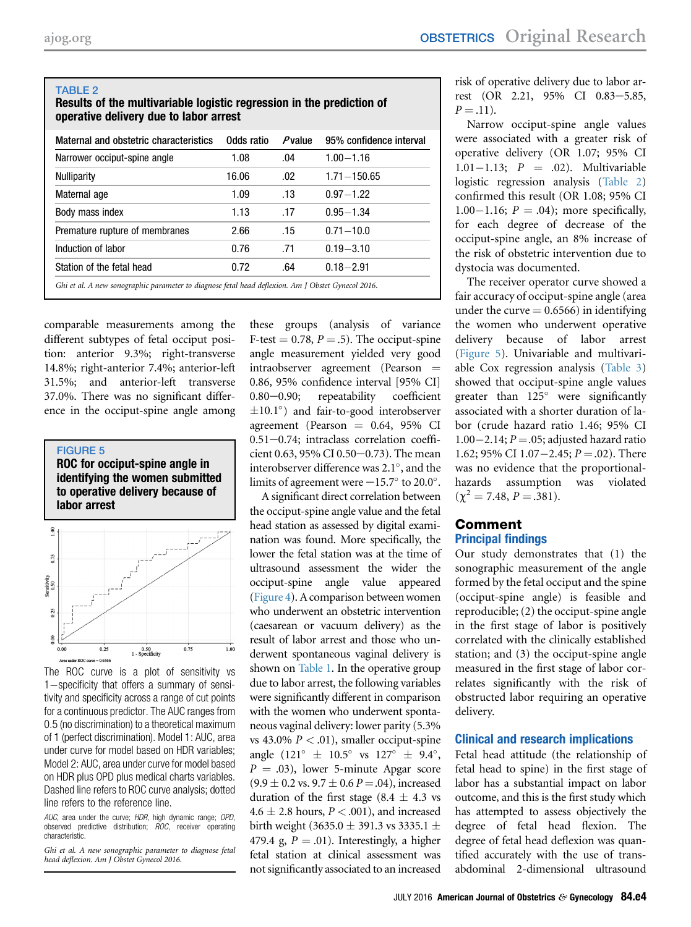#### TABLE 2

## Results of the multivariable logistic regression in the prediction of operative delivery due to labor arrest

| Maternal and obstetric characteristics                                                             | Odds ratio | $P$ value | 95% confidence interval |  |
|----------------------------------------------------------------------------------------------------|------------|-----------|-------------------------|--|
| Narrower occiput-spine angle                                                                       | 1.08       | .04       | $1.00 - 1.16$           |  |
| <b>Nulliparity</b>                                                                                 | 16.06      | .02       | $1.71 - 150.65$         |  |
| Maternal age                                                                                       | 1.09       | .13       | $0.97 - 1.22$           |  |
| Body mass index                                                                                    | 1.13       | .17       | $0.95 - 1.34$           |  |
| Premature rupture of membranes                                                                     | 2.66       | .15       | $0.71 - 10.0$           |  |
| Induction of labor                                                                                 | 0.76       | .71       | $0.19 - 3.10$           |  |
| Station of the fetal head                                                                          | 0.72       | .64       | $0.18 - 2.91$           |  |
| Ghi et al. A new sonographic parameter to diagnose fetal head deflexion. Am J Obstet Gynecol 2016. |            |           |                         |  |

comparable measurements among the different subtypes of fetal occiput position: anterior 9.3%; right-transverse 14.8%; right-anterior 7.4%; anterior-left 31.5%; and anterior-left transverse 37.0%. There was no significant difference in the occiput-spine angle among

FIGURE 5 ROC for occiput-spine angle in identifying the women submitted to operative delivery because of



The ROC curve is a plot of sensitivity vs  $1$ -specificity that offers a summary of sensitivity and specificity across a range of cut points for a continuous predictor. The AUC ranges from 0.5 (no discrimination) to a theoretical maximum of 1 (perfect discrimination). Model 1: AUC, area under curve for model based on HDR variables; Model 2: AUC, area under curve for model based on HDR plus OPD plus medical charts variables. Dashed line refers to ROC curve analysis; dotted line refers to the reference line.

AUC, area under the curve; HDR, high dynamic range; OPD, observed predictive distribution; ROC, receiver operating characteristic.

Ghi et al. A new sonographic parameter to diagnose fetal head deflexion. Am J Obstet Gynecol 2016.

these groups (analysis of variance F-test  $= 0.78$ ,  $P = .5$ ). The occiput-spine angle measurement yielded very good  $intraobserver$  agreement (Pearson  $=$ 0.86, 95% confidence interval [95% CI] 0.80-0.90; repeatability coefficient  $\pm 10.1^{\circ}$  and fair-to-good interobserver agreement (Pearson  $= 0.64, 95\%$  CI  $0.51 - 0.74$ ; intraclass correlation coefficient 0.63, 95% CI 0.50 $-0.73$ ). The mean interobserver difference was  $2.1^{\circ}$ , and the limits of agreement were  $-15.7^\circ$  to 20.0°.

A significant direct correlation between the occiput-spine angle value and the fetal head station as assessed by digital examination was found. More specifically, the lower the fetal station was at the time of ultrasound assessment the wider the occiput-spine angle value appeared ([Figure 4](#page-2-0)). A comparison between women who underwent an obstetric intervention (caesarean or vacuum delivery) as the result of labor arrest and those who underwent spontaneous vaginal delivery is shown on [Table 1](#page-2-0). In the operative group due to labor arrest, the following variables were significantly different in comparison with the women who underwent spontaneous vaginal delivery: lower parity (5.3% vs 43.0%  $P < .01$ ), smaller occiput-spine angle  $(121^{\circ} \pm 10.5^{\circ} \text{ vs } 127^{\circ} \pm 9.4^{\circ},$  $P = .03$ ), lower 5-minute Apgar score  $(9.9 \pm 0.2 \text{ vs. } 9.7 \pm 0.6 \text{ } P = .04)$ , increased duration of the first stage  $(8.4 \pm 4.3 \text{ vs } 10^{-12})$  $4.6 \pm 2.8$  hours,  $P < .001$ ), and increased birth weight (3635.0  $\pm$  391.3 vs 3335.1  $\pm$ 479.4 g,  $P = .01$ ). Interestingly, a higher fetal station at clinical assessment was not significantly associated to an increased

risk of operative delivery due to labor arrest (OR 2.21, 95% CI 0.83-5.85,  $P = .11$ ).

Narrow occiput-spine angle values were associated with a greater risk of operative delivery (OR 1.07; 95% CI 1.01-1.13;  $P = .02$ ). Multivariable logistic regression analysis (Table 2) confirmed this result (OR 1.08; 95% CI 1.00–1.16;  $P = .04$ ); more specifically, for each degree of decrease of the occiput-spine angle, an 8% increase of the risk of obstetric intervention due to dystocia was documented.

The receiver operator curve showed a fair accuracy of occiput-spine angle (area under the curve  $= 0.6566$ ) in identifying the women who underwent operative delivery because of labor arrest (Figure 5). Univariable and multivariable Cox regression analysis ([Table 3](#page-4-0)) showed that occiput-spine angle values greater than  $125^\circ$  were significantly associated with a shorter duration of labor (crude hazard ratio 1.46; 95% CI  $1.00-2.14$ ;  $P = .05$ ; adjusted hazard ratio 1.62; 95% CI 1.07 – 2.45;  $P = .02$ ). There was no evidence that the proportionalhazards assumption was violated  $(\gamma^2 = 7.48, P = .381).$ 

#### Comment Principal findings

Our study demonstrates that (1) the sonographic measurement of the angle formed by the fetal occiput and the spine (occiput-spine angle) is feasible and reproducible; (2) the occiput-spine angle in the first stage of labor is positively correlated with the clinically established station; and (3) the occiput-spine angle measured in the first stage of labor correlates significantly with the risk of obstructed labor requiring an operative delivery.

#### Clinical and research implications

Fetal head attitude (the relationship of fetal head to spine) in the first stage of labor has a substantial impact on labor outcome, and this is the first study which has attempted to assess objectively the degree of fetal head flexion. The degree of fetal head deflexion was quantified accurately with the use of transabdominal 2-dimensional ultrasound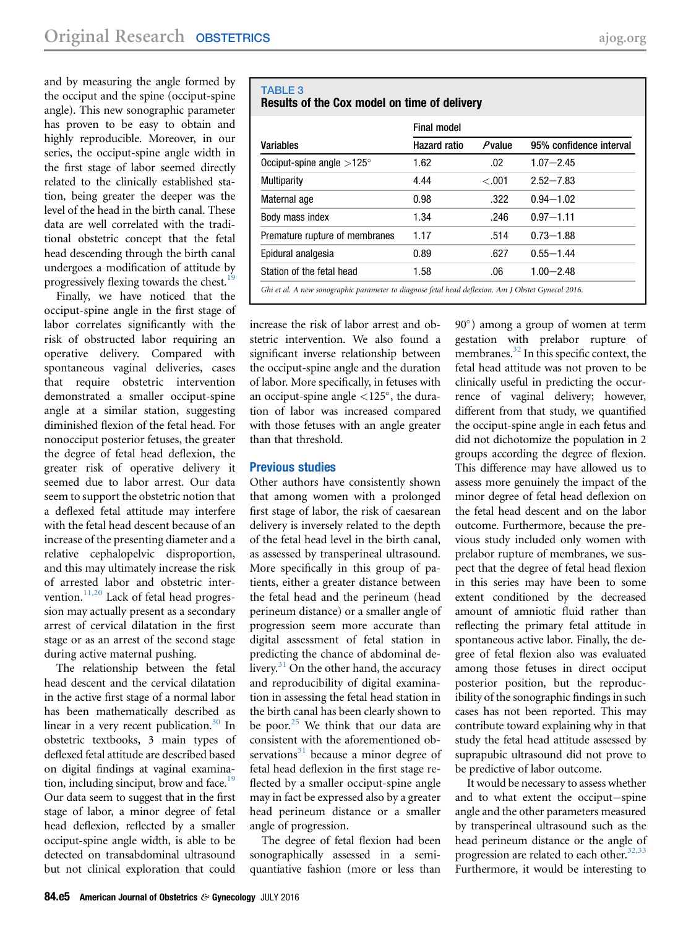<span id="page-4-0"></span>and by measuring the angle formed by the occiput and the spine (occiput-spine angle). This new sonographic parameter has proven to be easy to obtain and highly reproducible. Moreover, in our series, the occiput-spine angle width in the first stage of labor seemed directly related to the clinically established station, being greater the deeper was the level of the head in the birth canal. These data are well correlated with the traditional obstetric concept that the fetal head descending through the birth canal undergoes a modification of attitude by progressively flexing towards the chest.<sup>19</sup>

Finally, we have noticed that the occiput-spine angle in the first stage of labor correlates significantly with the risk of obstructed labor requiring an operative delivery. Compared with spontaneous vaginal deliveries, cases that require obstetric intervention demonstrated a smaller occiput-spine angle at a similar station, suggesting diminished flexion of the fetal head. For nonocciput posterior fetuses, the greater the degree of fetal head deflexion, the greater risk of operative delivery it seemed due to labor arrest. Our data seem to support the obstetric notion that a deflexed fetal attitude may interfere with the fetal head descent because of an increase of the presenting diameter and a relative cephalopelvic disproportion, and this may ultimately increase the risk of arrested labor and obstetric intervention.<sup>11,20</sup> Lack of fetal head progression may actually present as a secondary arrest of cervical dilatation in the first stage or as an arrest of the second stage during active maternal pushing.

The relationship between the fetal head descent and the cervical dilatation in the active first stage of a normal labor has been mathematically described as linear in a very recent publication.<sup>[30](#page-5-0)</sup> In obstetric textbooks, 3 main types of deflexed fetal attitude are described based on digital findings at vaginal examination, including sinciput, brow and face.<sup>19</sup> Our data seem to suggest that in the first stage of labor, a minor degree of fetal head deflexion, reflected by a smaller occiput-spine angle width, is able to be detected on transabdominal ultrasound but not clinical exploration that could

### TABLE 3 Results of the Cox model on time of delivery

|                                  | Final model         |           |                         |  |
|----------------------------------|---------------------|-----------|-------------------------|--|
| Variables                        | <b>Hazard ratio</b> | $P$ value | 95% confidence interval |  |
| Occiput-spine angle $>125^\circ$ | 1.62                | .02       | $1.07 - 2.45$           |  |
| Multiparity                      | 4.44                | $-.001$   | $2.52 - 7.83$           |  |
| Maternal age                     | 0.98                | .322      | $0.94 - 1.02$           |  |
| Body mass index                  | 1.34                | .246      | $0.97 - 1.11$           |  |
| Premature rupture of membranes   | 1.17                | .514      | $0.73 - 1.88$           |  |
| Epidural analgesia               | 0.89                | .627      | $0.55 - 1.44$           |  |
| Station of the fetal head        | 1.58                | .06       | $1.00 - 2.48$           |  |

increase the risk of labor arrest and obstetric intervention. We also found a significant inverse relationship between the occiput-spine angle and the duration of labor. More specifically, in fetuses with an occiput-spine angle  $\langle 125^\circ,$  the duration of labor was increased compared with those fetuses with an angle greater than that threshold.

#### Previous studies

Other authors have consistently shown that among women with a prolonged first stage of labor, the risk of caesarean delivery is inversely related to the depth of the fetal head level in the birth canal, as assessed by transperineal ultrasound. More specifically in this group of patients, either a greater distance between the fetal head and the perineum (head perineum distance) or a smaller angle of progression seem more accurate than digital assessment of fetal station in predicting the chance of abdominal delivery. $31$  On the other hand, the accuracy and reproducibility of digital examination in assessing the fetal head station in the birth canal has been clearly shown to be poor. $25$  We think that our data are consistent with the aforementioned observations $31$  because a minor degree of fetal head deflexion in the first stage reflected by a smaller occiput-spine angle may in fact be expressed also by a greater head perineum distance or a smaller angle of progression.

The degree of fetal flexion had been sonographically assessed in a semiquantiative fashion (more or less than

90) among a group of women at term gestation with prelabor rupture of membranes. $^{32}$  $^{32}$  $^{32}$  In this specific context, the fetal head attitude was not proven to be clinically useful in predicting the occurrence of vaginal delivery; however, different from that study, we quantified the occiput-spine angle in each fetus and did not dichotomize the population in 2 groups according the degree of flexion. This difference may have allowed us to assess more genuinely the impact of the minor degree of fetal head deflexion on the fetal head descent and on the labor outcome. Furthermore, because the previous study included only women with prelabor rupture of membranes, we suspect that the degree of fetal head flexion in this series may have been to some extent conditioned by the decreased amount of amniotic fluid rather than reflecting the primary fetal attitude in spontaneous active labor. Finally, the degree of fetal flexion also was evaluated among those fetuses in direct occiput posterior position, but the reproducibility of the sonographic findings in such cases has not been reported. This may contribute toward explaining why in that study the fetal head attitude assessed by suprapubic ultrasound did not prove to be predictive of labor outcome.

It would be necessary to assess whether and to what extent the occiput-spine angle and the other parameters measured by transperineal ultrasound such as the head perineum distance or the angle of progression are related to each other.<sup>32,33</sup> Furthermore, it would be interesting to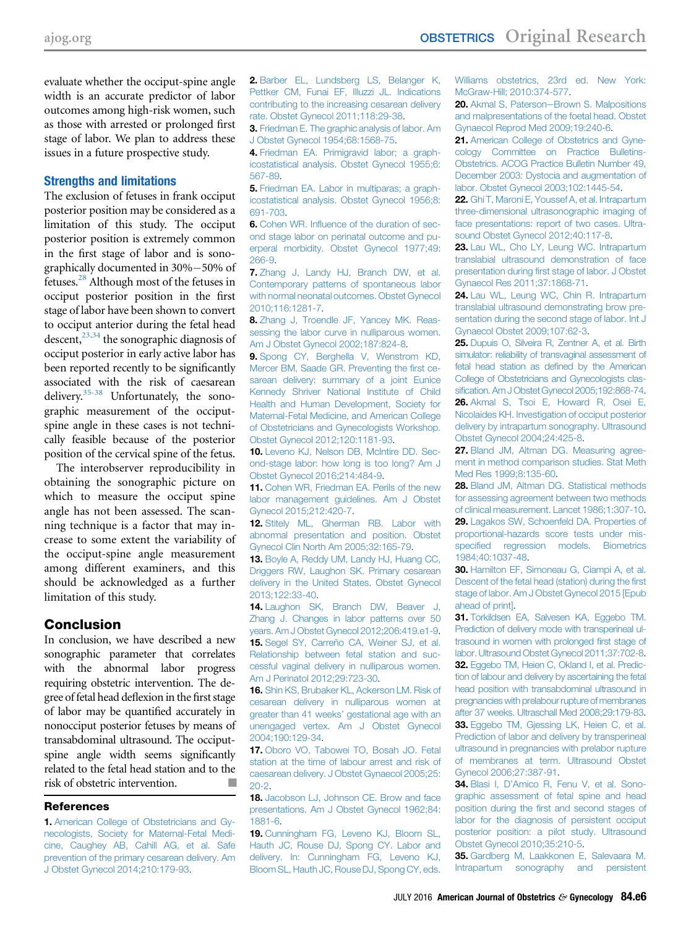<span id="page-5-0"></span>evaluate whether the occiput-spine angle width is an accurate predictor of labor outcomes among high-risk women, such as those with arrested or prolonged first stage of labor. We plan to address these issues in a future prospective study.

#### Strengths and limitations

The exclusion of fetuses in frank occiput posterior position may be considered as a limitation of this study. The occiput posterior position is extremely common in the first stage of labor and is sonographically documented in 30%-50% of fetuses.28 Although most of the fetuses in occiput posterior position in the first stage of labor have been shown to convert to occiput anterior during the fetal head descent,  $2^{3,34}$  the sonographic diagnosis of occiput posterior in early active labor has been reported recently to be significantly associated with the risk of caesarean delivery.35-38 Unfortunately, the sonographic measurement of the occiputspine angle in these cases is not technically feasible because of the posterior position of the cervical spine of the fetus.

The interobserver reproducibility in obtaining the sonographic picture on which to measure the occiput spine angle has not been assessed. The scanning technique is a factor that may increase to some extent the variability of the occiput-spine angle measurement among different examiners, and this should be acknowledged as a further limitation of this study.

# **Conclusion**

In conclusion, we have described a new sonographic parameter that correlates with the abnormal labor progress requiring obstetric intervention. The degree of fetal head deflexion in the first stage of labor may be quantified accurately in nonocciput posterior fetuses by means of transabdominal ultrasound. The occiputspine angle width seems significantly related to the fetal head station and to the risk of obstetric intervention.

#### **References**

1. [American College of Obstetricians and Gy](http://refhub.elsevier.com/S0002-9378(16)00308-2/sref1)[necologists, Society for Maternal-Fetal Medi](http://refhub.elsevier.com/S0002-9378(16)00308-2/sref1)[cine, Caughey AB, Cahill AG, et al. Safe](http://refhub.elsevier.com/S0002-9378(16)00308-2/sref1) [prevention of the primary cesarean delivery. Am](http://refhub.elsevier.com/S0002-9378(16)00308-2/sref1) [J Obstet Gynecol 2014;210:179-93.](http://refhub.elsevier.com/S0002-9378(16)00308-2/sref1)

2. [Barber EL, Lundsberg LS, Belanger K,](http://refhub.elsevier.com/S0002-9378(16)00308-2/sref2) [Pettker CM, Funai EF, Illuzzi JL. Indications](http://refhub.elsevier.com/S0002-9378(16)00308-2/sref2) [contributing to the increasing cesarean delivery](http://refhub.elsevier.com/S0002-9378(16)00308-2/sref2) [rate. Obstet Gynecol 2011;118:29-38.](http://refhub.elsevier.com/S0002-9378(16)00308-2/sref2)

3. [Friedman E. The graphic analysis of labor. Am](http://refhub.elsevier.com/S0002-9378(16)00308-2/sref3) [J Obstet Gynecol 1954;68:1568-75](http://refhub.elsevier.com/S0002-9378(16)00308-2/sref3).

4. [Friedman EA. Primigravid labor; a graph](http://refhub.elsevier.com/S0002-9378(16)00308-2/sref4)[icostatistical analysis. Obstet Gynecol 1955;6:](http://refhub.elsevier.com/S0002-9378(16)00308-2/sref4) [567-89](http://refhub.elsevier.com/S0002-9378(16)00308-2/sref4).

5. [Friedman EA. Labor in multiparas; a graph](http://refhub.elsevier.com/S0002-9378(16)00308-2/sref5)[icostatistical analysis. Obstet Gynecol 1956;8:](http://refhub.elsevier.com/S0002-9378(16)00308-2/sref5) [691-703](http://refhub.elsevier.com/S0002-9378(16)00308-2/sref5).

6. Cohen WR. Infl[uence of the duration of sec](http://refhub.elsevier.com/S0002-9378(16)00308-2/sref6)[ond stage labor on perinatal outcome and pu](http://refhub.elsevier.com/S0002-9378(16)00308-2/sref6)[erperal morbidity. Obstet Gynecol 1977;49:](http://refhub.elsevier.com/S0002-9378(16)00308-2/sref6) [266-9.](http://refhub.elsevier.com/S0002-9378(16)00308-2/sref6)

7. [Zhang J, Landy HJ, Branch DW, et al.](http://refhub.elsevier.com/S0002-9378(16)00308-2/sref7) [Contemporary patterns of spontaneous labor](http://refhub.elsevier.com/S0002-9378(16)00308-2/sref7) [with normal neonatal outcomes. Obstet Gynecol](http://refhub.elsevier.com/S0002-9378(16)00308-2/sref7) [2010;116:1281-7](http://refhub.elsevier.com/S0002-9378(16)00308-2/sref7).

8. [Zhang J, Troendle JF, Yancey MK. Reas](http://refhub.elsevier.com/S0002-9378(16)00308-2/sref8)[sessing the labor curve in nulliparous women.](http://refhub.elsevier.com/S0002-9378(16)00308-2/sref8) [Am J Obstet Gynecol 2002;187:824-8](http://refhub.elsevier.com/S0002-9378(16)00308-2/sref8).

9. [Spong CY, Berghella V, Wenstrom KD,](http://refhub.elsevier.com/S0002-9378(16)00308-2/sref9) [Mercer BM, Saade GR. Preventing the](http://refhub.elsevier.com/S0002-9378(16)00308-2/sref9) first ce[sarean delivery: summary of a joint Eunice](http://refhub.elsevier.com/S0002-9378(16)00308-2/sref9) [Kennedy Shriver National Institute of Child](http://refhub.elsevier.com/S0002-9378(16)00308-2/sref9) [Health and Human Development, Society for](http://refhub.elsevier.com/S0002-9378(16)00308-2/sref9) [Maternal-Fetal Medicine, and American College](http://refhub.elsevier.com/S0002-9378(16)00308-2/sref9) [of Obstetricians and Gynecologists Workshop.](http://refhub.elsevier.com/S0002-9378(16)00308-2/sref9) [Obstet Gynecol 2012;120:1181-93](http://refhub.elsevier.com/S0002-9378(16)00308-2/sref9).

10. [Leveno KJ, Nelson DB, McIntire DD. Sec](http://refhub.elsevier.com/S0002-9378(16)00308-2/sref10)[ond-stage labor: how long is too long? Am J](http://refhub.elsevier.com/S0002-9378(16)00308-2/sref10) [Obstet Gynecol 2016;214:484-9.](http://refhub.elsevier.com/S0002-9378(16)00308-2/sref10)

11. [Cohen WR, Friedman EA. Perils of the new](http://refhub.elsevier.com/S0002-9378(16)00308-2/sref11) [labor management guidelines. Am J Obstet](http://refhub.elsevier.com/S0002-9378(16)00308-2/sref11) [Gynecol 2015;212:420-7](http://refhub.elsevier.com/S0002-9378(16)00308-2/sref11).

12. [Stitely ML, Gherman RB. Labor with](http://refhub.elsevier.com/S0002-9378(16)00308-2/sref12) [abnormal presentation and position. Obstet](http://refhub.elsevier.com/S0002-9378(16)00308-2/sref12) [Gynecol Clin North Am 2005;32:165-79.](http://refhub.elsevier.com/S0002-9378(16)00308-2/sref12)

13. [Boyle A, Reddy UM, Landy HJ, Huang CC,](http://refhub.elsevier.com/S0002-9378(16)00308-2/sref13) [Driggers RW, Laughon SK. Primary cesarean](http://refhub.elsevier.com/S0002-9378(16)00308-2/sref13) [delivery in the United States. Obstet Gynecol](http://refhub.elsevier.com/S0002-9378(16)00308-2/sref13) [2013;122:33-40.](http://refhub.elsevier.com/S0002-9378(16)00308-2/sref13)

14. [Laughon SK, Branch DW, Beaver J,](http://refhub.elsevier.com/S0002-9378(16)00308-2/sref15) [Zhang J. Changes in labor patterns over 50](http://refhub.elsevier.com/S0002-9378(16)00308-2/sref15) [years. Am J Obstet Gynecol 2012;206:419.e1-9](http://refhub.elsevier.com/S0002-9378(16)00308-2/sref15). 15. [Segel SY, Carreño CA, Weiner SJ, et al.](http://refhub.elsevier.com/S0002-9378(16)00308-2/sref16) [Relationship between fetal station and suc](http://refhub.elsevier.com/S0002-9378(16)00308-2/sref16)[cessful vaginal delivery in nulliparous women.](http://refhub.elsevier.com/S0002-9378(16)00308-2/sref16) [Am J Perinatol 2012;29:723-30.](http://refhub.elsevier.com/S0002-9378(16)00308-2/sref16)

16. [Shin KS, Brubaker KL, Ackerson LM. Risk of](http://refhub.elsevier.com/S0002-9378(16)00308-2/sref17) [cesarean delivery in nulliparous women at](http://refhub.elsevier.com/S0002-9378(16)00308-2/sref17) greater than 41 weeks' [gestational age with an](http://refhub.elsevier.com/S0002-9378(16)00308-2/sref17) [unengaged vertex. Am J Obstet Gynecol](http://refhub.elsevier.com/S0002-9378(16)00308-2/sref17) [2004;190:129-34](http://refhub.elsevier.com/S0002-9378(16)00308-2/sref17).

17. [Oboro VO, Tabowei TO, Bosah JO. Fetal](http://refhub.elsevier.com/S0002-9378(16)00308-2/sref18) [station at the time of labour arrest and risk of](http://refhub.elsevier.com/S0002-9378(16)00308-2/sref18) [caesarean delivery. J Obstet Gynaecol 2005;25:](http://refhub.elsevier.com/S0002-9378(16)00308-2/sref18) [20-2](http://refhub.elsevier.com/S0002-9378(16)00308-2/sref18).

18. Jacobson LJ, Johnson CE, Brow and face [presentations. Am J Obstet Gynecol 1962;84:](http://refhub.elsevier.com/S0002-9378(16)00308-2/sref19) [1881-6](http://refhub.elsevier.com/S0002-9378(16)00308-2/sref19).

19. [Cunningham FG, Leveno KJ, Bloom SL,](http://refhub.elsevier.com/S0002-9378(16)00308-2/sref20) [Hauth JC, Rouse DJ, Spong CY. Labor and](http://refhub.elsevier.com/S0002-9378(16)00308-2/sref20) [delivery. In: Cunningham FG, Leveno KJ,](http://refhub.elsevier.com/S0002-9378(16)00308-2/sref20) [Bloom SL, Hauth JC, Rouse DJ, Spong CY, eds.](http://refhub.elsevier.com/S0002-9378(16)00308-2/sref20)

[Williams obstetrics, 23rd ed. New York:](http://refhub.elsevier.com/S0002-9378(16)00308-2/sref20) [McGraw-Hill; 2010:374-577](http://refhub.elsevier.com/S0002-9378(16)00308-2/sref20).

20. Akmal S, Paterson-[Brown S. Malpositions](http://refhub.elsevier.com/S0002-9378(16)00308-2/sref21) [and malpresentations of the foetal head. Obstet](http://refhub.elsevier.com/S0002-9378(16)00308-2/sref21) [Gynaecol Reprod Med 2009;19:240-6](http://refhub.elsevier.com/S0002-9378(16)00308-2/sref21).

21. [American College of Obstetrics and Gyne](http://refhub.elsevier.com/S0002-9378(16)00308-2/sref22)[cology Committee on Practice Bulletins-](http://refhub.elsevier.com/S0002-9378(16)00308-2/sref22)[Obstetrics. ACOG Practice Bulletin Number 49,](http://refhub.elsevier.com/S0002-9378(16)00308-2/sref22) [December 2003: Dystocia and augmentation of](http://refhub.elsevier.com/S0002-9378(16)00308-2/sref22) [labor. Obstet Gynecol 2003;102:1445-54](http://refhub.elsevier.com/S0002-9378(16)00308-2/sref22).

22. [Ghi T, Maroni E, Youssef A, et al. Intrapartum](http://refhub.elsevier.com/S0002-9378(16)00308-2/sref23) [three-dimensional ultrasonographic imaging of](http://refhub.elsevier.com/S0002-9378(16)00308-2/sref23) [face presentations: report of two cases. Ultra](http://refhub.elsevier.com/S0002-9378(16)00308-2/sref23)[sound Obstet Gynecol 2012;40:117-8.](http://refhub.elsevier.com/S0002-9378(16)00308-2/sref23)

23. [Lau WL, Cho LY, Leung WC. Intrapartum](http://refhub.elsevier.com/S0002-9378(16)00308-2/sref24) [translabial ultrasound demonstration of face](http://refhub.elsevier.com/S0002-9378(16)00308-2/sref24) presentation during fi[rst stage of labor. J Obstet](http://refhub.elsevier.com/S0002-9378(16)00308-2/sref24) [Gynaecol Res 2011;37:1868-71.](http://refhub.elsevier.com/S0002-9378(16)00308-2/sref24)

24. [Lau WL, Leung WC, Chin R. Intrapartum](http://refhub.elsevier.com/S0002-9378(16)00308-2/sref25) [translabial ultrasound demonstrating brow pre](http://refhub.elsevier.com/S0002-9378(16)00308-2/sref25)[sentation during the second stage of labor. Int J](http://refhub.elsevier.com/S0002-9378(16)00308-2/sref25) [Gynaecol Obstet 2009;107:62-3.](http://refhub.elsevier.com/S0002-9378(16)00308-2/sref25)

25. [Dupuis O, Silveira R, Zentner A, et al. Birth](http://refhub.elsevier.com/S0002-9378(16)00308-2/sref26) [simulator: reliability of transvaginal assessment of](http://refhub.elsevier.com/S0002-9378(16)00308-2/sref26) [fetal head station as de](http://refhub.elsevier.com/S0002-9378(16)00308-2/sref26)fined by the American [College of Obstetricians and Gynecologists clas](http://refhub.elsevier.com/S0002-9378(16)00308-2/sref26)sifi[cation. Am J Obstet Gynecol 2005;192:868-74.](http://refhub.elsevier.com/S0002-9378(16)00308-2/sref26) 26. [Akmal S, Tsoi E, Howard R, Osei E,](http://refhub.elsevier.com/S0002-9378(16)00308-2/sref27) [Nicolaides KH. Investigation of occiput posterior](http://refhub.elsevier.com/S0002-9378(16)00308-2/sref27) [delivery by intrapartum sonography. Ultrasound](http://refhub.elsevier.com/S0002-9378(16)00308-2/sref27) [Obstet Gynecol 2004;24:425-8.](http://refhub.elsevier.com/S0002-9378(16)00308-2/sref27)

27. [Bland JM, Altman DG. Measuring agree](http://refhub.elsevier.com/S0002-9378(16)00308-2/sref28)[ment in method comparison studies. Stat Meth](http://refhub.elsevier.com/S0002-9378(16)00308-2/sref28) [Med Res 1999;8:135-60](http://refhub.elsevier.com/S0002-9378(16)00308-2/sref28).

28. [Bland JM, Altman DG. Statistical methods](http://refhub.elsevier.com/S0002-9378(16)00308-2/sref29) [for assessing agreement between two methods](http://refhub.elsevier.com/S0002-9378(16)00308-2/sref29) [of clinical measurement. Lancet 1986;1:307-10.](http://refhub.elsevier.com/S0002-9378(16)00308-2/sref29) 29. [Lagakos SW, Schoenfeld DA. Properties of](http://refhub.elsevier.com/S0002-9378(16)00308-2/sref30) [proportional-hazards score tests under mis](http://refhub.elsevier.com/S0002-9378(16)00308-2/sref30)specifi[ed regression models. Biometrics](http://refhub.elsevier.com/S0002-9378(16)00308-2/sref30) [1984;40:1037-48](http://refhub.elsevier.com/S0002-9378(16)00308-2/sref30).

30. [Hamilton EF, Simoneau G, Ciampi A, et al.](http://refhub.elsevier.com/S0002-9378(16)00308-2/sref31) [Descent of the fetal head \(station\) during the](http://refhub.elsevier.com/S0002-9378(16)00308-2/sref31) first [stage of labor. Am J Obstet Gynecol 2015 \[Epub](http://refhub.elsevier.com/S0002-9378(16)00308-2/sref31) [ahead of print\]](http://refhub.elsevier.com/S0002-9378(16)00308-2/sref31).

31. [Torkildsen EA, Salvesen KA, Eggebo TM.](http://refhub.elsevier.com/S0002-9378(16)00308-2/sref32) [Prediction of delivery mode with transperineal ul](http://refhub.elsevier.com/S0002-9378(16)00308-2/sref32)[trasound in women with prolonged](http://refhub.elsevier.com/S0002-9378(16)00308-2/sref32) first stage of [labor. Ultrasound Obstet Gynecol 2011;37:702-8.](http://refhub.elsevier.com/S0002-9378(16)00308-2/sref32) 32. [Eggebo TM, Heien C, Okland I, et al. Predic](http://refhub.elsevier.com/S0002-9378(16)00308-2/sref33)[tion of labour and delivery by ascertaining the fetal](http://refhub.elsevier.com/S0002-9378(16)00308-2/sref33) [head position with transabdominal ultrasound in](http://refhub.elsevier.com/S0002-9378(16)00308-2/sref33) [pregnancies with prelabour rupture of membranes](http://refhub.elsevier.com/S0002-9378(16)00308-2/sref33) [after 37 weeks. Ultraschall Med 2008;29:179-83.](http://refhub.elsevier.com/S0002-9378(16)00308-2/sref33)

33. [Eggebo TM, Gjessing LK, Heien C, et al.](http://refhub.elsevier.com/S0002-9378(16)00308-2/sref34) [Prediction of labor and delivery by transperineal](http://refhub.elsevier.com/S0002-9378(16)00308-2/sref34) [ultrasound in pregnancies with prelabor rupture](http://refhub.elsevier.com/S0002-9378(16)00308-2/sref34) [of membranes at term. Ultrasound Obstet](http://refhub.elsevier.com/S0002-9378(16)00308-2/sref34) [Gynecol 2006;27:387-91.](http://refhub.elsevier.com/S0002-9378(16)00308-2/sref34)

34. Blasi I, D'[Amico R, Fenu V, et al. Sono](http://refhub.elsevier.com/S0002-9378(16)00308-2/sref37)[graphic assessment of fetal spine and head](http://refhub.elsevier.com/S0002-9378(16)00308-2/sref37) position during the fi[rst and second stages of](http://refhub.elsevier.com/S0002-9378(16)00308-2/sref37) [labor for the diagnosis of persistent occiput](http://refhub.elsevier.com/S0002-9378(16)00308-2/sref37) [posterior position: a pilot study. Ultrasound](http://refhub.elsevier.com/S0002-9378(16)00308-2/sref37) [Obstet Gynecol 2010;35:210-5.](http://refhub.elsevier.com/S0002-9378(16)00308-2/sref37)

35. [Gardberg M, Laakkonen E, Salevaara M.](http://refhub.elsevier.com/S0002-9378(16)00308-2/sref35) [Intrapartum sonography and persistent](http://refhub.elsevier.com/S0002-9378(16)00308-2/sref35)